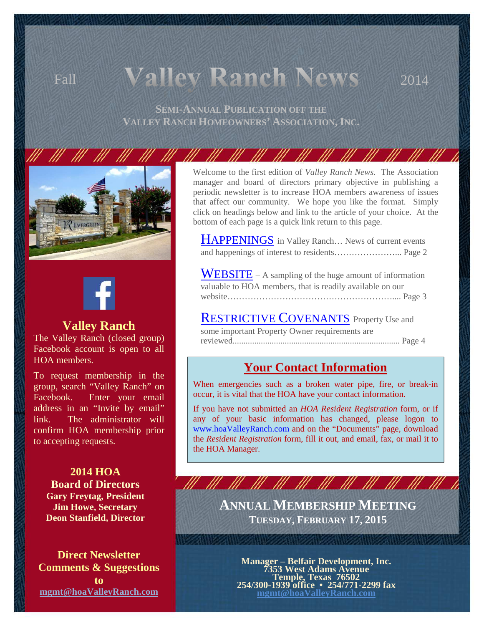# Fall **Valley Ranch News** 2014

**SEMI-ANNUAL PUBLICATION OFF THE VALLEY RANCH HOMEOWNERS' ASSOCIATION, INC.** 

111 111 111





### **Valley Ranch**

The Valley Ranch (closed group) Facebook account is open to all HOA members.

To request membership in the group, search "Valley Ranch" on Facebook. Enter your email address in an "Invite by email" link. The administrator will confirm HOA membership prior to accepting requests.

**2014 HOA Board of Directors Gary Freytag, President Jim Howe, Secretary Deon Stanfield, Director**

**Direct Newsletter Comments & Suggestions to mgmt@hoaValleyRanch.com** 

Welcome to the first edition of *Valley Ranch News.* The Association manager and board of directors primary objective in publishing a periodic newsletter is to increase HOA members awareness of issues that affect our community. We hope you like the format. Simply click on headings below and link to the article of your choice. At the bottom of each page is a quick link return to this page.

- III - III - III - III

HAPPENINGS in Valley Ranch... News of current events and happenings of interest to residents…………………... Page 2

WEBSITE – A sampling of the huge amount of information valuable to HOA members, that is readily available on our website………………………………………………….... Page 3

RESTRICTIVE COVENANTS Property Use and some important Property Owner requirements are reviewed............................................................................. Page 4

# **Your Contact Information**

When emergencies such as a broken water pipe, fire, or break-in occur, it is vital that the HOA have your contact information.

If you have not submitted an *HOA Resident Registration* form, or if any of your basic information has changed, please logon to www.hoaValleyRanch.com and on the "Documents" page, download the *Resident Registration* form, fill it out, and email, fax, or mail it to the HOA Manager.

> **ANNUAL MEMBERSHIP MEETING TUESDAY, FEBRUARY 17, 2015**

221 | 1221 | 1222 | 1223 | 1224 | 1224 | 1224 | 1225 | 1227

HI HI HI HI HI HI HI HI HI HI

**Manager – Belfair Development, Inc. 7353 West Adams Avenue Temple, Texas 76502 254/300-1939 office • 254/771-2299 fax mgmt@hoaValleyRanch.com**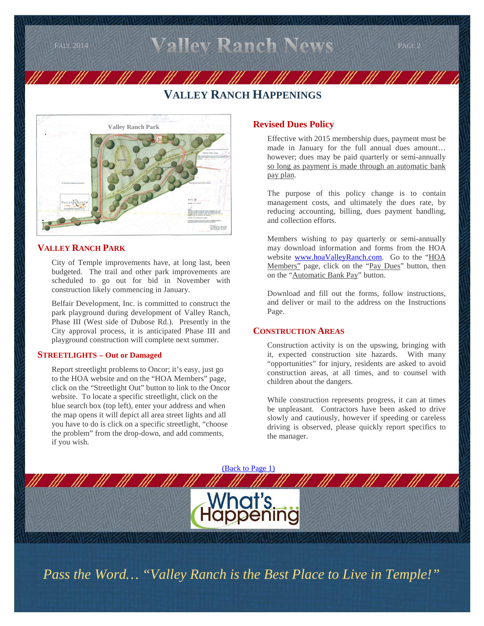$_{\rm{FAL 2014}}$  Valley Ranch News  $_{\rm{PAGE 2}}$ 

# **VALLEY RANCH HAPPENINGS**



#### **VALLEY RANCH PARK**

 City of Temple improvements have, at long last, been budgeted. The trail and other park improvements are scheduled to go out for bid in November with construction likely commencing in January.

 Belfair Development, Inc. is committed to construct the park playground during development of Valley Ranch, Phase III (West side of Dubose Rd.). Presently in the City approval process, it is anticipated Phase III and playground construction will complete next summer.

#### **STREETLIGHTS – Out or Damaged**

 Report streetlight problems to Oncor; it's easy, just go to the HOA website and on the "HOA Members" page, click on the "Streetlight Out" button to link to the Oncor website. To locate a specific streetlight, click on the blue search box (top left), enter your address and when the map opens it will depict all area street lights and all you have to do is click on a specific streetlight, "choose the problem" from the drop-down, and add comments, if you wish.

#### **Revised Dues Policy**

Effective with 2015 membership dues, payment must be made in January for the full annual dues amount… however; dues may be paid quarterly or semi-annually so long as payment is made through an automatic bank pay plan.

The purpose of this policy change is to contain management costs, and ultimately the dues rate, by reducing accounting, billing, dues payment handling, and collection efforts.

Members wishing to pay quarterly or semi-annually may download information and forms from the HOA website www.hoaValleyRanch.com. Go to the "HOA Members" page, click on the "Pay Dues" button, then on the "Automatic Bank Pay" button.

Download and fill out the forms, follow instructions, and deliver or mail to the address on the Instructions Page.

#### **CONSTRUCTION AREAS**

 Construction activity is on the upswing, bringing with it, expected construction site hazards. With many "opportunities" for injury, residents are asked to avoid construction areas, at all times, and to counsel with children about the dangers.

 While construction represents progress, it can at times be unpleasant. Contractors have been asked to drive slowly and cautiously, however if speeding or careless driving is observed, please quickly report specifics to the manager.



*Pass the Word… "Valley Ranch is the Best Place to Live in Temple!"*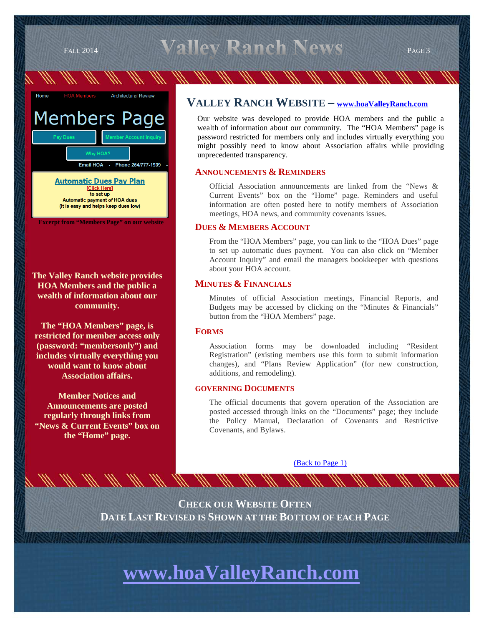$_{\text{FALL 2014}}$  Valley Ranch News  $_{\text{PAGE 3}}$ 

# Architectural Review **Members Page** Email HOA - Phone 254/777-1939 **Automatic Dues Pay Plan** [Click Here] to set up **Automatic payment of HOA dues** (It is easy and helps keep dues low) **Excerpt from "Members Page" on our website**

**The Valley Ranch website provides HOA Members and the public a wealth of information about our community.** 

**The "HOA Members" page, is restricted for member access only (password: "membersonly") and includes virtually everything you would want to know about Association affairs.** 

**Member Notices and Announcements are posted regularly through links from "News & Current Events" box on the "Home" page.** 

### **VALLEY RANCH WEBSITE – www.hoaValleyRanch.com**

Our website was developed to provide HOA members and the public a wealth of information about our community. The "HOA Members" page is password restricted for members only and includes virtually everything you might possibly need to know about Association affairs while providing unprecedented transparency.

#### **ANNOUNCEMENTS & REMINDERS**

 Official Association announcements are linked from the "News & Current Events" box on the "Home" page. Reminders and useful information are often posted here to notify members of Association meetings, HOA news, and community covenants issues.

#### **DUES & MEMBERS ACCOUNT**

 From the "HOA Members" page, you can link to the "HOA Dues" page to set up automatic dues payment. You can also click on "Member Account Inquiry" and email the managers bookkeeper with questions about your HOA account.

#### **MINUTES & FINANCIALS**

 Minutes of official Association meetings, Financial Reports, and Budgets may be accessed by clicking on the "Minutes & Financials" button from the "HOA Members" page.

#### **FORMS**

 Association forms may be downloaded including "Resident Registration" (existing members use this form to submit information changes), and "Plans Review Application" (for new construction, additions, and remodeling).

#### **GOVERNING DOCUMENTS**

 The official documents that govern operation of the Association are posted accessed through links on the "Documents" page; they include the Policy Manual, Declaration of Covenants and Restrictive Covenants, and Bylaws.

(Back to Page 1)

**CHECK OUR WEBSITE OFTEN DATE LAST REVISED IS SHOWN AT THE BOTTOM OF EACH PAGE**

# **www.hoaValleyRanch.com**